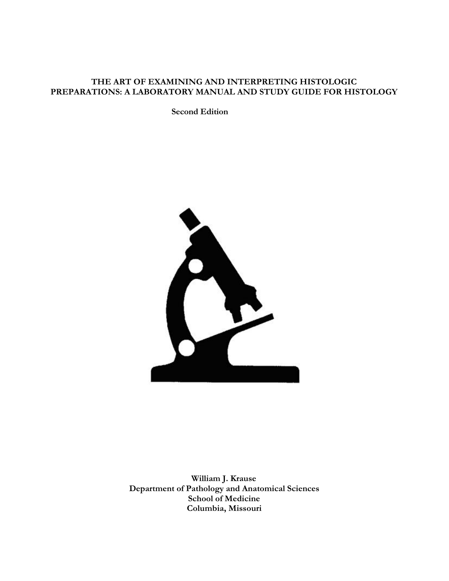## **THE ART OF EXAMINING AND INTERPRETING HISTOLOGIC PREPARATIONS: A LABORATORY MANUAL AND STUDY GUIDE FOR HISTOLOGY**

**Second Edition**



**William J. Krause Department of Pathology and Anatomical Sciences School of Medicine Columbia, Missouri**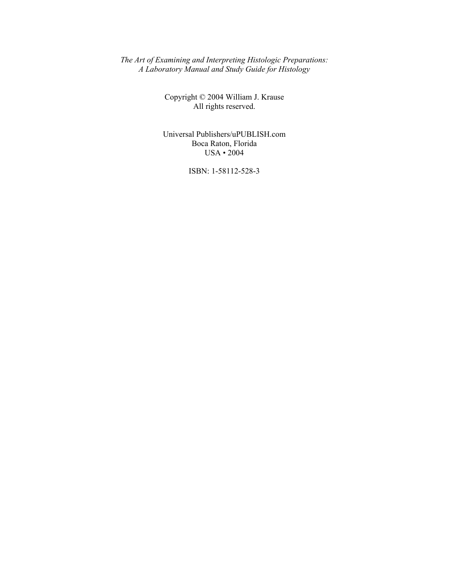*The Art of Examining and Interpreting Histologic Preparations: A Laboratory Manual and Study Guide for Histology* 

> Copyright © 2004 William J. Krause All rights reserved.

Universal Publishers/uPUBLISH.com Boca Raton, Florida USA • 2004

ISBN: 1-58112-528-3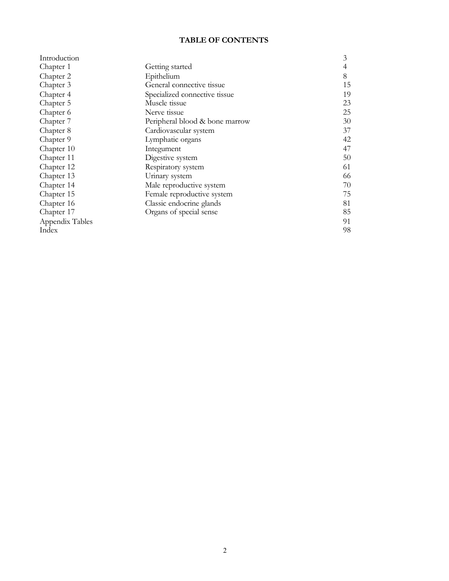# **TABLE OF CONTENTS**

| Introduction    |                                | 3  |
|-----------------|--------------------------------|----|
| Chapter 1       | Getting started                | 4  |
| Chapter 2       | Epithelium                     | 8  |
| Chapter 3       | General connective tissue      | 15 |
| Chapter 4       | Specialized connective tissue  | 19 |
| Chapter 5       | Muscle tissue                  | 23 |
| Chapter 6       | Nerve tissue                   | 25 |
| Chapter 7       | Peripheral blood & bone marrow | 30 |
| Chapter 8       | Cardiovascular system          | 37 |
| Chapter 9       | Lymphatic organs               | 42 |
| Chapter 10      | Integument                     | 47 |
| Chapter 11      | Digestive system               | 50 |
| Chapter 12      | Respiratory system             | 61 |
| Chapter 13      | Urinary system                 | 66 |
| Chapter 14      | Male reproductive system       | 70 |
| Chapter 15      | Female reproductive system     | 75 |
| Chapter 16      | Classic endocrine glands       | 81 |
| Chapter 17      | Organs of special sense        | 85 |
| Appendix Tables |                                | 91 |
| Index           |                                | 98 |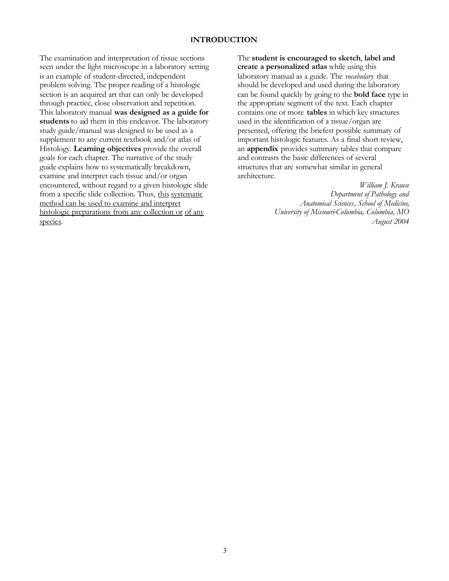#### **INTRODUCTION**

The examination and interpretation of tissue sections seen under the light microscope in a laboratory setting is an example of student-directed, independent problem solving. The proper reading of a histologic section is an acquired art that can only be developed through practice, close observation and repetition. This laboratory manual **was designed as a guide for students** to aid them in this endeavor. The laboratory study guide/manual was designed to be used as a supplement to any current textbook and/or atlas of Histology. **Learning objectives** provide the overall goals for each chapter. The narrative of the study guide explains how to systematically breakdown, examine and interpret each tissue and/or organ encountered, without regard to a given histologic slide from a specific slide collection. Thus, this systematic method can be used to examine and interpret histologic preparations from any collection or of any species.

The **student is encouraged to sketch**, **label and create a personalized atlas** while using this laboratory manual as a guide. The *vocabulary* that should be developed and used during the laboratory can be found quickly by going to the **bold face** type in the appropriate segment of the text. Each chapter contains one or more **tables** in which key structures used in the identification of a tissue/organ are presented, offering the briefest possible summary of important histologic features. As a final short review, an **appendix** provides summary tables that compare and contrasts the basic differences of several structures that are somewhat similar in general architecture.

> *William J. Krause Department of Pathology and Anatomical Sciences, School of Medicine, University of Missouri-Columbia, Columbia, MO August 2004*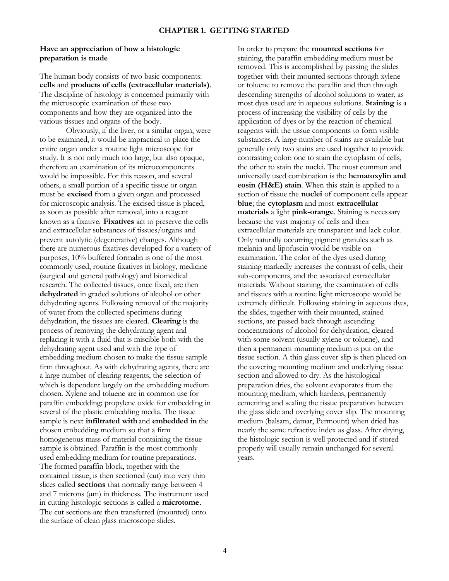### **Have an appreciation of how a histologic preparation is made**

The human body consists of two basic components: **cells** and **products of cells (extracellular materials)**. The discipline of histology is concerned primarily with the microscopic examination of these two components and how they are organized into the various tissues and organs of the body.

Obviously, if the liver, or a similar organ, were to be examined, it would be impractical to place the entire organ under a routine light microscope for study. It is not only much too large, but also opaque, therefore an examination of its microcomponents would be impossible. For this reason, and several others, a small portion of a specific tissue or organ must be **excised** from a given organ and processed for microscopic analysis. The excised tissue is placed, as soon as possible after removal, into a reagent known as a fixative. **Fixatives** act to preserve the cells and extracellular substances of tissues/organs and prevent autolytic (degenerative) changes. Although there are numerous fixatives developed for a variety of purposes, 10% buffered formalin is one of the most commonly used, routine fixatives in biology, medicine (surgical and general pathology) and biomedical research. The collected tissues, once fixed, are then **dehydrated** in graded solutions of alcohol or other dehydrating agents. Following removal of the majority of water from the collected specimens during dehydration, the tissues are cleared. **Clearing** is the process of removing the dehydrating agent and replacing it with a fluid that is miscible both with the dehydrating agent used and with the type of embedding medium chosen to make the tissue sample firm throughout. As with dehydrating agents, there are a large number of clearing reagents, the selection of which is dependent largely on the embedding medium chosen. Xylene and toluene are in common use for paraffin embedding; propylene oxide for embedding in several of the plastic embedding media. The tissue sample is next **infiltrated with** and **embedded in** the chosen embedding medium so that a firm homogeneous mass of material containing the tissue sample is obtained. Paraffin is the most commonly used embedding medium for routine preparations. The formed paraffin block, together with the contained tissue, is then sectioned (cut) into very thin slices called **sections** that normally range between 4 and  $7$  microns  $(\mu m)$  in thickness. The instrument used in cutting histologic sections is called a **microtome**. The cut sections are then transferred (mounted) onto the surface of clean glass microscope slides.

In order to prepare the **mounted sections** for staining, the paraffin embedding medium must be removed. This is accomplished by passing the slides together with their mounted sections through xylene or toluene to remove the paraffin and then through descending strengths of alcohol solutions to water, as most dyes used are in aqueous solutions. **Staining** is a process of increasing the visibility of cells by the application of dyes or by the reaction of chemical reagents with the tissue components to form visible substances. A large number of stains are available but generally only two stains are used together to provide contrasting color: one to stain the cytoplasm of cells, the other to stain the nuclei. The most common and universally used combination is the **hematoxylin and eosin (H&E) stain**. When this stain is applied to a section of tissue the **nuclei** of component cells appear **blue**; the **cytoplasm** and most **extracellular materials** a light **pink-orange**. Staining is necessary because the vast majority of cells and their extracellular materials are transparent and lack color. Only naturally occurring pigment granules such as melanin and lipofuscin would be visible on examination. The color of the dyes used during staining markedly increases the contrast of cells, their sub-components, and the associated extracellular materials. Without staining, the examination of cells and tissues with a routine light microscope would be extremely difficult. Following staining in aqueous dyes, the slides, together with their mounted, stained sections, are passed back through ascending concentrations of alcohol for dehydration, cleared with some solvent (usually xylene or toluene), and then a permanent mounting medium is put on the tissue section. A thin glass cover slip is then placed on the covering mounting medium and underlying tissue section and allowed to dry. As the histological preparation dries, the solvent evaporates from the mounting medium, which hardens, permanently cementing and sealing the tissue preparation between the glass slide and overlying cover slip. The mounting medium (balsam, damar, Permount) when dried has nearly the same refractive index as glass. After drying, the histologic section is well protected and if stored properly will usually remain unchanged for several years.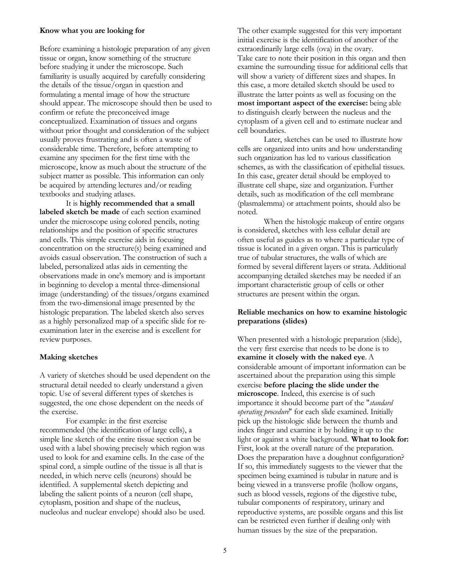### **Know what you are looking for**

Before examining a histologic preparation of any given tissue or organ, know something of the structure before studying it under the microscope. Such familiarity is usually acquired by carefully considering the details of the tissue/organ in question and formulating a mental image of how the structure should appear. The microscope should then be used to confirm or refute the preconceived image conceptualized. Examination of tissues and organs without prior thought and consideration of the subject usually proves frustrating and is often a waste of considerable time. Therefore, before attempting to examine any specimen for the first time with the microscope, know as much about the structure of the subject matter as possible. This information can only be acquired by attending lectures and/or reading textbooks and studying atlases.

It is **highly recommended that a small labeled sketch be made** of each section examined under the microscope using colored pencils, noting relationships and the position of specific structures and cells. This simple exercise aids in focusing concentration on the structure(s) being examined and avoids casual observation. The construction of such a labeled, personalized atlas aids in cementing the observations made in one's memory and is important in beginning to develop a mental three-dimensional image (understanding) of the tissues/organs examined from the two-dimensional image presented by the histologic preparation. The labeled sketch also serves as a highly personalized map of a specific slide for reexamination later in the exercise and is excellent for review purposes.

## **Making sketches**

A variety of sketches should be used dependent on the structural detail needed to clearly understand a given topic. Use of several different types of sketches is suggested, the one chose dependent on the needs of the exercise.

For example: in the first exercise recommended (the identification of large cells), a simple line sketch of the entire tissue section can be used with a label showing precisely which region was used to look for and examine cells. In the case of the spinal cord, a simple outline of the tissue is all that is needed, in which nerve cells (neurons) should be identified. A supplemental sketch depicting and labeling the salient points of a neuron (cell shape, cytoplasm, position and shape of the nucleus, nucleolus and nuclear envelope) should also be used. The other example suggested for this very important initial exercise is the identification of another of the extraordinarily large cells (ova) in the ovary. Take care to note their position in this organ and then examine the surrounding tissue for additional cells that will show a variety of different sizes and shapes. In this case, a more detailed sketch should be used to illustrate the latter points as well as focusing on the **most important aspect of the exercise:** being able to distinguish clearly between the nucleus and the cytoplasm of a given cell and to estimate nuclear and cell boundaries.

Later, sketches can be used to illustrate how cells are organized into units and how understanding such organization has led to various classification schemes, as with the classification of epithelial tissues. In this case, greater detail should be employed to illustrate cell shape, size and organization. Further details, such as modification of the cell membrane (plasmalemma) or attachment points, should also be noted.

When the histologic makeup of entire organs is considered, sketches with less cellular detail are often useful as guides as to where a particular type of tissue is located in a given organ. This is particularly true of tubular structures, the walls of which are formed by several different layers or strata. Additional accompanying detailed sketches may be needed if an important characteristic group of cells or other structures are present within the organ.

### **Reliable mechanics on how to examine histologic preparations (slides)**

When presented with a histologic preparation (slide), the very first exercise that needs to be done is to **examine it closely with the naked eye**. A considerable amount of important information can be ascertained about the preparation using this simple exercise **before placing the slide under the microscope**. Indeed, this exercise is of such importance it should become part of the "*standard operating procedure*" for each slide examined. Initially pick up the histologic slide between the thumb and index finger and examine it by holding it up to the light or against a white background. **What to look for:**  First, look at the overall nature of the preparation. Does the preparation have a doughnut configuration? If so, this immediately suggests to the viewer that the specimen being examined is tubular in nature and is being viewed in a transverse profile (hollow organs, such as blood vessels, regions of the digestive tube, tubular components of respiratory, urinary and reproductive systems, are possible organs and this list can be restricted even further if dealing only with human tissues by the size of the preparation.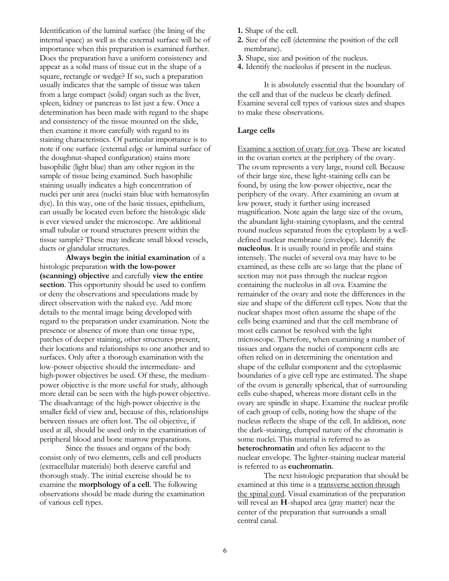Identification of the luminal surface (the lining of the internal space) as well as the external surface will be of importance when this preparation is examined further. Does the preparation have a uniform consistency and appear as a solid mass of tissue cut in the shape of a square, rectangle or wedge? If so, such a preparation usually indicates that the sample of tissue was taken from a large compact (solid) organ such as the liver, spleen, kidney or pancreas to list just a few. Once a determination has been made with regard to the shape and consistency of the tissue mounted on the slide, then examine it more carefully with regard to its staining characteristics. Of particular importance is to note if one surface (external edge or luminal surface of the doughnut-shaped configuration) stains more basophilic (light blue) than any other region in the sample of tissue being examined. Such basophilic staining usually indicates a high concentration of nuclei per unit area (nuclei stain blue with hematoxylin dye). In this way, one of the basic tissues, epithelium, can usually be located even before the histologic slide is ever viewed under the microscope. Are additional small tubular or round structures present within the tissue sample? These may indicate small blood vessels, ducts or glandular structures.

**Always begin the initial examination** of a histologic preparation **with the low-power (scanning) objective** and carefully **view the entire section**. This opportunity should be used to confirm or deny the observations and speculations made by direct observation with the naked eye. Add more details to the mental image being developed with regard to the preparation under examination. Note the presence or absence of more than one tissue type, patches of deeper staining, other structures present, their locations and relationships to one another and to surfaces. Only after a thorough examination with the low-power objective should the intermediate- and high-power objectives be used. Of these, the mediumpower objective is the more useful for study, although more detail can be seen with the high-power objective. The disadvantage of the high-power objective is the smaller field of view and, because of this, relationships between tissues are often lost. The oil objective, if used at all, should be used only in the examination of peripheral blood and bone marrow preparations.

Since the tissues and organs of the body consist only of two elements, cells and cell products (extracellular materials) both deserve careful and thorough study. The initial exercise should be to examine the **morphology of a cell**. The following observations should be made during the examination of various cell types.

- **1.** Shape of the cell.
- **2.** Size of the cell (determine the position of the cell membrane).
- **3.** Shape, size and position of the nucleus.
- **4.** Identify the nucleolus if present in the nucleus.

It is absolutely essential that the boundary of the cell and that of the nucleus be clearly defined. Examine several cell types of various sizes and shapes to make these observations.

#### **Large cells**

Examine a section of ovary for ova. These are located in the ovarian cortex at the periphery of the ovary. The ovum represents a very large, round cell. Because of their large size, these light-staining cells can be found, by using the low-power objective, near the periphery of the ovary. After examining an ovum at low power, study it further using increased magnification. Note again the large size of the ovum, the abundant light-staining cytoplasm, and the central round nucleus separated from the cytoplasm by a welldefined nuclear membrane (envelope). Identify the **nucleolus**. It is usually round in profile and stains intensely. The nuclei of several ova may have to be examined, as these cells are so large that the plane of section may not pass through the nuclear region containing the nucleolus in all ova. Examine the remainder of the ovary and note the differences in the size and shape of the different cell types. Note that the nuclear shapes most often assume the shape of the cells being examined and that the cell membrane of most cells cannot be resolved with the light microscope. Therefore, when examining a number of tissues and organs the nuclei of component cells are often relied on in determining the orientation and shape of the cellular component and the cytoplasmic boundaries of a give cell type are estimated. The shape of the ovum is generally spherical, that of surrounding cells cube-shaped, whereas more distant cells in the ovary are spindle in shape. Examine the nuclear profile of each group of cells, noting how the shape of the nucleus reflects the shape of the cell. In addition, note the dark-staining, clumped nature of the chromatin is some nuclei. This material is referred to as **heterochromatin** and often lies adjacent to the nuclear envelope. The lighter-staining nuclear material is referred to as **euchromatin**.

The next histologic preparation that should be examined at this time is a transverse section through the spinal cord. Visual examination of the preparation will reveal an **H**-shaped area (gray matter) near the center of the preparation that surrounds a small central canal.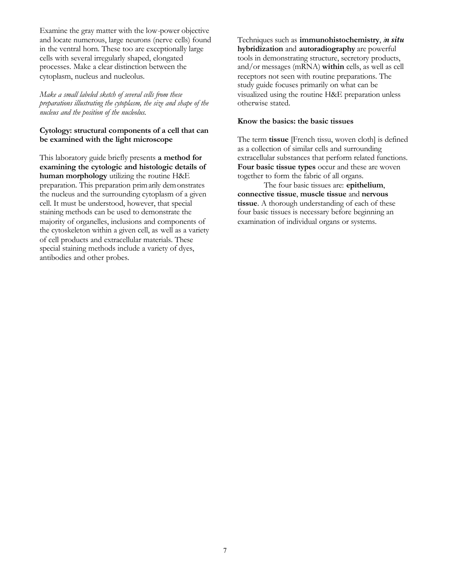Examine the gray matter with the low-power objective and locate numerous, large neurons (nerve cells) found in the ventral horn. These too are exceptionally large cells with several irregularly shaped, elongated processes. Make a clear distinction between the cytoplasm, nucleus and nucleolus.

*Make a small labeled sketch of several cells from these preparations illustrating the cytoplasm, the size and shape of the nucleus and the position of the nucleolus.*

### **Cytology: structural components of a cell that can be examined with the light microscope**

This laboratory guide briefly presents **a method for examining the cytologic and histologic details of human morphology** utilizing the routine H&E preparation. This preparation primarily demonstrates the nucleus and the surrounding cytoplasm of a given cell. It must be understood, however, that special staining methods can be used to demonstrate the majority of organelles, inclusions and components of the cytoskeleton within a given cell, as well as a variety of cell products and extracellular materials. These special staining methods include a variety of dyes, antibodies and other probes.

Techniques such as **immunohistochemistry**, *in situ* **hybridization** and **autoradiography** are powerful tools in demonstrating structure, secretory products, and/or messages (mRNA) **within** cells, as well as cell receptors not seen with routine preparations. The study guide focuses primarily on what can be visualized using the routine H&E preparation unless otherwise stated.

### **Know the basics: the basic tissues**

The term **tissue** [French tissu, woven cloth] is defined as a collection of similar cells and surrounding extracellular substances that perform related functions. **Four basic tissue types** occur and these are woven together to form the fabric of all organs.

The four basic tissues are: **epithelium**, **connective tissue**, **muscle tissue** and **nervous tissue**. A thorough understanding of each of these four basic tissues is necessary before beginning an examination of individual organs or systems.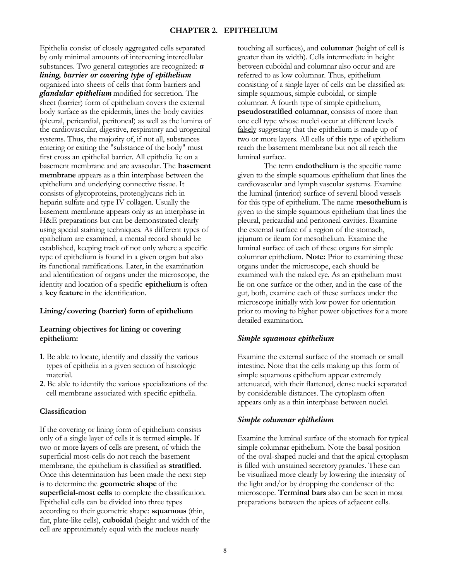Epithelia consist of closely aggregated cells separated by only minimal amounts of intervening intercellular substances. Two general categories are recognized: *a lining, barrier or covering type of epithelium* organized into sheets of cells that form barriers and *glandular epithelium* modified for secretion. The sheet (barrier) form of epithelium covers the external body surface as the epidermis, lines the body cavities (pleural, pericardial, peritoneal) as well as the lumina of the cardiovascular, digestive, respiratory and urogenital systems. Thus, the majority of, if not all, substances entering or exiting the "substance of the body" must first cross an epithelial barrier. All epithelia lie on a basement membrane and are avascular. The **basement membrane** appears as a thin interphase between the epithelium and underlying connective tissue. It consists of glycoproteins, proteoglycans rich in heparin sulfate and type IV collagen. Usually the basement membrane appears only as an interphase in H&E preparations but can be demonstrated clearly using special staining techniques. As different types of epithelium are examined, a mental record should be established, keeping track of not only where a specific type of epithelium is found in a given organ but also its functional ramifications. Later, in the examination and identification of organs under the microscope, the identity and location of a specific **epithelium** is often a **key feature** in the identification.

## **Lining/covering (barrier) form of epithelium**

## **Learning objectives for lining or covering epithelium:**

- **1**. Be able to locate, identify and classify the various types of epithelia in a given section of histologic material.
- **2**. Be able to identify the various specializations of the cell membrane associated with specific epithelia.

## **Classification**

If the covering or lining form of epithelium consists only of a single layer of cells it is termed **simple.** If two or more layers of cells are present, of which the superficial most-cells do not reach the basement membrane, the epithelium is classified as **stratified.** Once this determination has been made the next step is to determine the **geometric shape** of the **superficial-most cells** to complete the classification. Epithelial cells can be divided into three types according to their geometric shape: **squamous** (thin, flat, plate-like cells), **cuboidal** (height and width of the cell are approximately equal with the nucleus nearly

touching all surfaces), and **columnar** (height of cell is greater than its width). Cells intermediate in height between cuboidal and columnar also occur and are referred to as low columnar. Thus, epithelium consisting of a single layer of cells can be classified as: simple squamous, simple cuboidal, or simple columnar. A fourth type of simple epithelium, **pseudostratified columnar**, consists of more than one cell type whose nuclei occur at different levels falsely suggesting that the epithelium is made up of two or more layers. All cells of this type of epithelium reach the basement membrane but not all reach the luminal surface.

The term **endothelium** is the specific name given to the simple squamous epithelium that lines the cardiovascular and lymph vascular systems. Examine the luminal (interior) surface of several blood vessels for this type of epithelium. The name **mesothelium** is given to the simple squamous epithelium that lines the pleural, pericardial and peritoneal cavities. Examine the external surface of a region of the stomach, jejunum or ileum for mesothelium. Examine the luminal surface of each of these organs for simple columnar epithelium. **Note:** Prior to examining these organs under the microscope, each should be examined with the naked eye. As an epithelium must lie on one surface or the other, and in the case of the gut, both, examine each of these surfaces under the microscope initially with low power for orientation prior to moving to higher power objectives for a more detailed examination.

## *Simple squamous epithelium*

Examine the external surface of the stomach or small intestine. Note that the cells making up this form of simple squamous epithelium appear extremely attenuated, with their flattened, dense nuclei separated by considerable distances. The cytoplasm often appears only as a thin interphase between nuclei.

## *Simple columnar epithelium*

Examine the luminal surface of the stomach for typical simple columnar epithelium. Note the basal position of the oval-shaped nuclei and that the apical cytoplasm is filled with unstained secretory granules. These can be visualized more clearly by lowering the intensity of the light and/or by dropping the condenser of the microscope. **Terminal bars** also can be seen in most preparations between the apices of adjacent cells.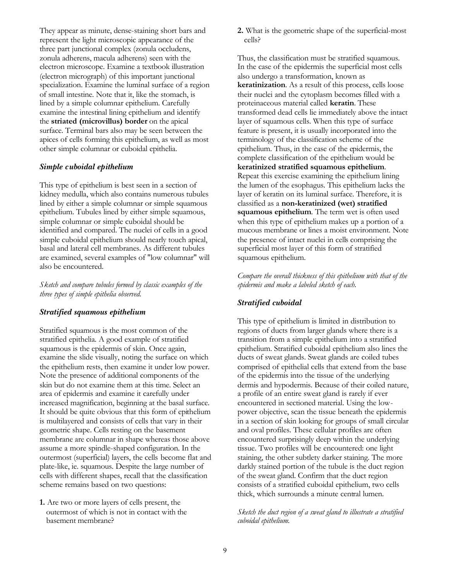They appear as minute, dense-staining short bars and represent the light microscopic appearance of the three part junctional complex (zonula occludens, zonula adherens, macula adherens) seen with the electron microscope. Examine a textbook illustration (electron micrograph) of this important junctional specialization. Examine the luminal surface of a region of small intestine. Note that it, like the stomach, is lined by a simple columnar epithelium. Carefully examine the intestinal lining epithelium and identify the **striated (microvillus) border** on the apical surface. Terminal bars also may be seen between the apices of cells forming this epithelium, as well as most other simple columnar or cuboidal epithelia.

### *Simple cuboidal epithelium*

This type of epithelium is best seen in a section of kidney medulla, which also contains numerous tubules lined by either a simple columnar or simple squamous epithelium. Tubules lined by either simple squamous, simple columnar or simple cuboidal should be identified and compared. The nuclei of cells in a good simple cuboidal epithelium should nearly touch apical, basal and lateral cell membranes. As different tubules are examined, several examples of "low columnar" will also be encountered.

*Sketch and compare tubules formed by classic examples of the three types of simple epithelia observed.*

#### *Stratified squamous epithelium*

Stratified squamous is the most common of the stratified epithelia. A good example of stratified squamous is the epidermis of skin. Once again, examine the slide visually, noting the surface on which the epithelium rests, then examine it under low power. Note the presence of additional components of the skin but do not examine them at this time. Select an area of epidermis and examine it carefully under increased magnification, beginning at the basal surface. It should be quite obvious that this form of epithelium is multilayered and consists of cells that vary in their geometric shape. Cells resting on the basement membrane are columnar in shape whereas those above assume a more spindle-shaped configuration. In the outermost (superficial) layers, the cells become flat and plate-like, ie. squamous. Despite the large number of cells with different shapes, recall that the classification scheme remains based on two questions:

**1.** Are two or more layers of cells present, the outermost of which is not in contact with the basement membrane?

**2.** What is the geometric shape of the superficial-most cells?

Thus, the classification must be stratified squamous. In the case of the epidermis the superficial most cells also undergo a transformation, known as **keratinization**. As a result of this process, cells loose their nuclei and the cytoplasm becomes filled with a proteinaceous material called **keratin**. These transformed dead cells lie immediately above the intact layer of squamous cells. When this type of surface feature is present, it is usually incorporated into the terminology of the classification scheme of the epithelium. Thus, in the case of the epidermis, the complete classification of the epithelium would be **keratinized stratified squamous epithelium**. Repeat this exercise examining the epithelium lining the lumen of the esophagus. This epithelium lacks the layer of keratin on its luminal surface. Therefore, it is classified as a **non-keratinized (wet) stratified squamous epithelium**. The term wet is often used when this type of epithelium makes up a portion of a mucous membrane or lines a moist environment. Note the presence of intact nuclei in cells comprising the superficial most layer of this form of stratified squamous epithelium.

*Compare the overall thickness of this epithelium with that of the epidermis and make a labeled sketch of each.*

## *Stratified cuboidal*

This type of epithelium is limited in distribution to regions of ducts from larger glands where there is a transition from a simple epithelium into a stratified epithelium. Stratified cuboidal epithelium also lines the ducts of sweat glands. Sweat glands are coiled tubes comprised of epithelial cells that extend from the base of the epidermis into the tissue of the underlying dermis and hypodermis. Because of their coiled nature, a profile of an entire sweat gland is rarely if ever encountered in sectioned material. Using the lowpower objective, scan the tissue beneath the epidermis in a section of skin looking for groups of small circular and oval profiles. These cellular profiles are often encountered surprisingly deep within the underlying tissue. Two profiles will be encountered: one light staining, the other subtlety darker staining. The more darkly stained portion of the tubule is the duct region of the sweat gland. Confirm that the duct region consists of a stratified cuboidal epithelium, two cells thick, which surrounds a minute central lumen.

*Sketch the duct region of a sweat gland to illustrate a stratified cuboidal epithelium.*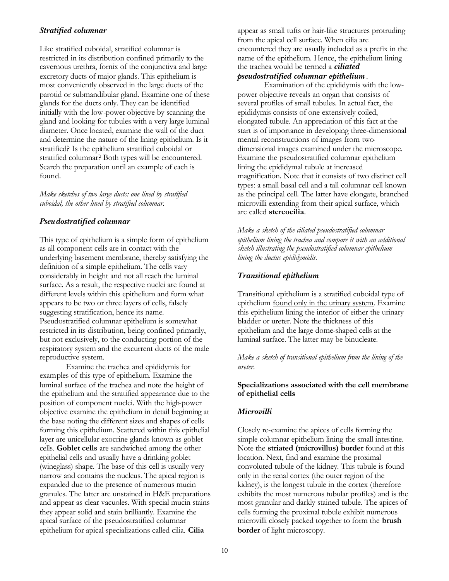#### *Stratified columnar*

Like stratified cuboidal, stratified columnar is restricted in its distribution confined primarily to the cavernous urethra, fornix of the conjunctiva and large excretory ducts of major glands. This epithelium is most conveniently observed in the large ducts of the parotid or submandibular gland. Examine one of these glands for the ducts only. They can be identified initially with the low-power objective by scanning the gland and looking for tubules with a very large luminal diameter. Once located, examine the wall of the duct and determine the nature of the lining epithelium. Is it stratified? Is the epithelium stratified cuboidal or stratified columnar? Both types will be encountered. Search the preparation until an example of each is found.

*Make sketches of two large ducts: one lined by stratified cuboidal, the other lined by stratified columnar.*

### *Pseudostratified columnar*

This type of epithelium is a simple form of epithelium as all component cells are in contact with the underlying basement membrane, thereby satisfying the definition of a simple epithelium. The cells vary considerably in height and not all reach the luminal surface. As a result, the respective nuclei are found at different levels within this epithelium and form what appears to be two or three layers of cells, falsely suggesting stratification, hence its name. Pseudostratified columnar epithelium is somewhat restricted in its distribution, being confined primarily, but not exclusively, to the conducting portion of the respiratory system and the excurrent ducts of the male reproductive system.

Examine the trachea and epididymis for examples of this type of epithelium. Examine the luminal surface of the trachea and note the height of the epithelium and the stratified appearance due to the position of component nuclei. With the high-power objective examine the epithelium in detail beginning at the base noting the different sizes and shapes of cells forming this epithelium. Scattered within this epithelial layer are unicellular exocrine glands known as goblet cells. **Goblet cells** are sandwiched among the other epithelial cells and usually have a drinking goblet (wineglass) shape. The base of this cell is usually very narrow and contains the nucleus. The apical region is expanded due to the presence of numerous mucin granules. The latter are unstained in H&E preparations and appear as clear vacuoles. With special mucin stains they appear solid and stain brilliantly. Examine the apical surface of the pseudostratified columnar epithelium for apical specializations called cilia. **Cilia**

appear as small tufts or hair-like structures protruding from the apical cell surface. When cilia are encountered they are usually included as a prefix in the name of the epithelium. Hence, the epithelium lining the trachea would be termed a *ciliated pseudostratified columnar epithelium*.

Examination of the epididymis with the lowpower objective reveals an organ that consists of several profiles of small tubules. In actual fact, the epididymis consists of one extensively coiled, elongated tubule. An appreciation of this fact at the start is of importance in developing three-dimensional mental reconstructions of images from twodimensional images examined under the microscope. Examine the pseudostratified columnar epithelium lining the epididymal tubule at increased magnification. Note that it consists of two distinct cell types: a small basal cell and a tall columnar cell known as the principal cell. The latter have elongate, branched microvilli extending from their apical surface, which are called **stereocilia**.

*Make a sketch of the ciliated pseudostratified columnar epithelium lining the trachea and compare it with an additional sketch illustrating the pseudostratified columnar epithelium lining the ductus epididymidis.*

## *Transitional epithelium*

Transitional epithelium is a stratified cuboidal type of epithelium found only in the urinary system. Examine this epithelium lining the interior of either the urinary bladder or ureter. Note the thickness of this epithelium and the large dome-shaped cells at the luminal surface. The latter may be binucleate.

### *Make a sketch of transitional epithelium from the lining of the ureter.*

### **Specializations associated with the cell membrane of epithelial cells**

## *Microvilli*

Closely re-examine the apices of cells forming the simple columnar epithelium lining the small intestine. Note the **striated (microvillus) border** found at this location. Next, find and examine the proximal convoluted tubule of the kidney. This tubule is found only in the renal cortex (the outer region of the kidney), is the longest tubule in the cortex (therefore exhibits the most numerous tubular profiles) and is the most granular and darkly stained tubule. The apices of cells forming the proximal tubule exhibit numerous microvilli closely packed together to form the **brush border** of light microscopy.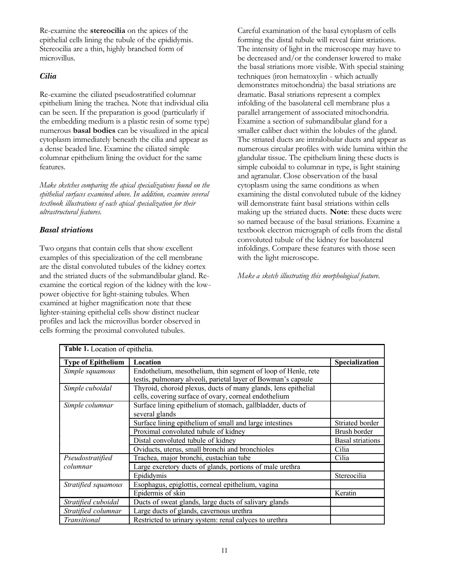Re-examine the **stereocilia** on the apices of the epithelial cells lining the tubule of the epididymis. Stereocilia are a thin, highly branched form of microvillus.

## *Cilia*

Re-examine the ciliated pseudostratified columnar epithelium lining the trachea. Note that individual cilia can be seen. If the preparation is good (particularly if the embedding medium is a plastic resin of some type) numerous **basal bodies** can be visualized in the apical cytoplasm immediately beneath the cilia and appear as a dense beaded line. Examine the ciliated simple columnar epithelium lining the oviduct for the same features.

*Make sketches comparing the apical specializations found on the epithelial surfaces examined above. In addition, examine several textbook illustrations of each apical specialization for their ultrastructural features.*

## *Basal striations*

Two organs that contain cells that show excellent examples of this specialization of the cell membrane are the distal convoluted tubules of the kidney cortex and the striated ducts of the submandibular gland. Reexamine the cortical region of the kidney with the lowpower objective for light-staining tubules. When examined at higher magnification note that these lighter-staining epithelial cells show distinct nuclear profiles and lack the microvillus border observed in cells forming the proximal convoluted tubules.

Careful examination of the basal cytoplasm of cells forming the distal tubule will reveal faint striations. The intensity of light in the microscope may have to be decreased and/or the condenser lowered to make the basal striations more visible. With special staining techniques (iron hematoxylin - which actually demonstrates mitochondria) the basal striations are dramatic. Basal striations represent a complex infolding of the basolateral cell membrane plus a parallel arrangement of associated mitochondria. Examine a section of submandibular gland for a smaller caliber duct within the lobules of the gland. The striated ducts are intralobular ducts and appear as numerous circular profiles with wide lumina within the glandular tissue. The epithelium lining these ducts is simple cuboidal to columnar in type, is light staining and agranular. Close observation of the basal cytoplasm using the same conditions as when examining the distal convoluted tubule of the kidney will demonstrate faint basal striations within cells making up the striated ducts. **Note**: these ducts were so named because of the basal striations. Examine a textbook electron micrograph of cells from the distal convoluted tubule of the kidney for basolateral infoldings. Compare these features with those seen with the light microscope.

## *Make a sketch illustrating this morphological feature.*

| Table 1. Location of epithelia. |                                                                |                         |  |
|---------------------------------|----------------------------------------------------------------|-------------------------|--|
| <b>Type of Epithelium</b>       | Location                                                       | Specialization          |  |
| Simple squamous                 | Endothelium, mesothelium, thin segment of loop of Henle, rete  |                         |  |
|                                 | testis, pulmonary alveoli, parietal layer of Bowman's capsule  |                         |  |
| Simple cuboidal                 | Thyroid, choroid plexus, ducts of many glands, lens epithelial |                         |  |
|                                 | cells, covering surface of ovary, corneal endothelium          |                         |  |
| Simple columnar                 | Surface lining epithelium of stomach, gallbladder, ducts of    |                         |  |
|                                 | several glands                                                 |                         |  |
|                                 | Surface lining epithelium of small and large intestines        | Striated border         |  |
|                                 | Proximal convoluted tubule of kidney                           | Brush border            |  |
|                                 | Distal convoluted tubule of kidney                             | <b>Basal</b> striations |  |
|                                 | Oviducts, uterus, small bronchi and bronchioles                | Cilia                   |  |
| Pseudostratified                | Trachea, major bronchi, eustachian tube                        | Cilia                   |  |
| columnar                        | Large excretory ducts of glands, portions of male urethra      |                         |  |
|                                 | Epididymis                                                     | Stereocilia             |  |
| Stratified squamous             | Esophagus, epiglottis, corneal epithelium, vagina              |                         |  |
|                                 | Epidermis of skin                                              | Keratin                 |  |
| Stratified cuboidal             | Ducts of sweat glands, large ducts of salivary glands          |                         |  |
| Stratified columnar             | Large ducts of glands, cavernous urethra                       |                         |  |
| Transitional                    | Restricted to urinary system: renal calyces to urethra         |                         |  |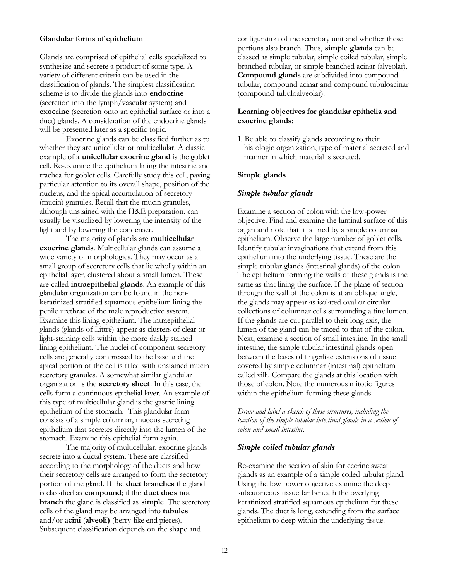#### **Glandular forms of epithelium**

Glands are comprised of epithelial cells specialized to synthesize and secrete a product of some type. A variety of different criteria can be used in the classification of glands. The simplest classification scheme is to divide the glands into **endocrine** (secretion into the lymph/vascular system) and **exocrine** (secretion onto an epithelial surface or into a duct) glands. A consideration of the endocrine glands will be presented later as a specific topic.

Exocrine glands can be classified further as to whether they are unicellular or multicellular. A classic example of a **unicellular exocrine gland** is the goblet cell. Re-examine the epithelium lining the intestine and trachea for goblet cells. Carefully study this cell, paying particular attention to its overall shape, position of the nucleus, and the apical accumulation of secretory (mucin) granules. Recall that the mucin granules, although unstained with the H&E preparation, can usually be visualized by lowering the intensity of the light and by lowering the condenser.

The majority of glands are **multicellular exocrine glands**. Multicellular glands can assume a wide variety of morphologies. They may occur as a small group of secretory cells that lie wholly within an epithelial layer, clustered about a small lumen. These are called **intraepithelial glands**. An example of this glandular organization can be found in the nonkeratinized stratified squamous epithelium lining the penile urethrae of the male reproductive system. Examine this lining epithelium. The intraepithelial glands (glands of Littré) appear as clusters of clear or light-staining cells within the more darkly stained lining epithelium. The nuclei of component secretory cells are generally compressed to the base and the apical portion of the cell is filled with unstained mucin secretory granules. A somewhat similar glandular organization is the **secretory sheet**. In this case, the cells form a continuous epithelial layer. An example of this type of multicellular gland is the gastric lining epithelium of the stomach. This glandular form consists of a simple columnar, mucous secreting epithelium that secretes directly into the lumen of the stomach. Examine this epithelial form again.

The majority of multicellular, exocrine glands secrete into a ductal system. These are classified according to the morphology of the ducts and how their secretory cells are arranged to form the secretory portion of the gland. If the **duct branches** the gland is classified as **compound**; if the **duct does not branch** the gland is classified as **simple**. The secretory cells of the gland may be arranged into **tubules** and/or **acini** (**alveoli)** (berry-like end pieces). Subsequent classification depends on the shape and

configuration of the secretory unit and whether these portions also branch. Thus, **simple glands** can be classed as simple tubular, simple coiled tubular, simple branched tubular, or simple branched acinar (alveolar). **Compound glands** are subdivided into compound tubular, compound acinar and compound tubuloacinar (compound tubuloalveolar).

## **Learning objectives for glandular epithelia and exocrine glands:**

**1**. Be able to classify glands according to their histologic organization, type of material secreted and manner in which material is secreted.

### **Simple glands**

### *Simple tubular glands*

Examine a section of colon with the low-power objective. Find and examine the luminal surface of this organ and note that it is lined by a simple columnar epithelium. Observe the large number of goblet cells. Identify tubular invaginations that extend from this epithelium into the underlying tissue. These are the simple tubular glands (intestinal glands) of the colon. The epithelium forming the walls of these glands is the same as that lining the surface. If the plane of section through the wall of the colon is at an oblique angle, the glands may appear as isolated oval or circular collections of columnar cells surrounding a tiny lumen. If the glands are cut parallel to their long axis, the lumen of the gland can be traced to that of the colon. Next, examine a section of small intestine. In the small intestine, the simple tubular intestinal glands open between the bases of fingerlike extensions of tissue covered by simple columnar (intestinal) epithelium called villi. Compare the glands at this location with those of colon. Note the numerous mitotic figures within the epithelium forming these glands.

*Draw and label a sketch of these structures, including the location of the simple tubular intestinal glands in a section of colon and small intestine.*

#### *Simple coiled tubular glands*

Re-examine the section of skin for eccrine sweat glands as an example of a simple coiled tubular gland. Using the low power objective examine the deep subcutaneous tissue far beneath the overlying keratinized stratified squamous epithelium for these glands. The duct is long, extending from the surface epithelium to deep within the underlying tissue.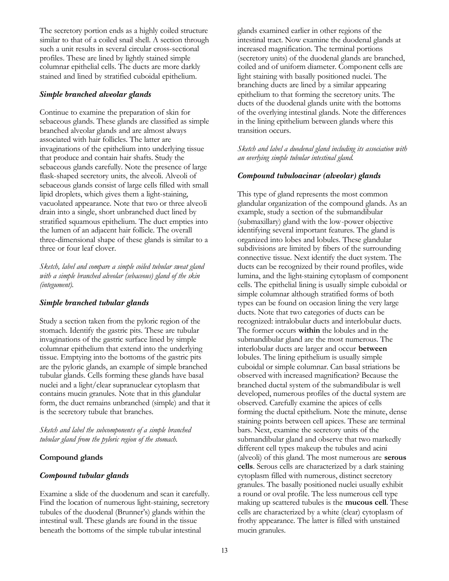The secretory portion ends as a highly coiled structure similar to that of a coiled snail shell. A section through such a unit results in several circular cross-sectional profiles. These are lined by lightly stained simple columnar epithelial cells. The ducts are more darkly stained and lined by stratified cuboidal epithelium.

### *Simple branched alveolar glands*

Continue to examine the preparation of skin for sebaceous glands. These glands are classified as simple branched alveolar glands and are almost always associated with hair follicles. The latter are invaginations of the epithelium into underlying tissue that produce and contain hair shafts. Study the sebaceous glands carefully. Note the presence of large flask-shaped secretory units, the alveoli. Alveoli of sebaceous glands consist of large cells filled with small lipid droplets, which gives them a light-staining, vacuolated appearance. Note that two or three alveoli drain into a single, short unbranched duct lined by stratified squamous epithelium. The duct empties into the lumen of an adjacent hair follicle. The overall three-dimensional shape of these glands is similar to a three or four leaf clover.

*Sketch, label and compare a simple coiled tubular sweat gland with a simple branched alveolar (sebaceous) gland of the skin (integument).*

## *Simple branched tubular glands*

Study a section taken from the pyloric region of the stomach. Identify the gastric pits. These are tubular invaginations of the gastric surface lined by simple columnar epithelium that extend into the underlying tissue. Emptying into the bottoms of the gastric pits are the pyloric glands, an example of simple branched tubular glands. Cells forming these glands have basal nuclei and a light/clear supranuclear cytoplasm that contains mucin granules. Note that in this glandular form, the duct remains unbranched (simple) and that it is the secretory tubule that branches.

*Sketch and label the subcomponents of a simple branched tubular gland from the pyloric region of the stomach.*

#### **Compound glands**

#### *Compound tubular glands*

Examine a slide of the duodenum and scan it carefully. Find the location of numerous light-staining, secretory tubules of the duodenal (Brunner's) glands within the intestinal wall. These glands are found in the tissue beneath the bottoms of the simple tubular intestinal

glands examined earlier in other regions of the intestinal tract. Now examine the duodenal glands at increased magnification. The terminal portions (secretory units) of the duodenal glands are branched, coiled and of uniform diameter. Component cells are light staining with basally positioned nuclei. The branching ducts are lined by a similar appearing epithelium to that forming the secretory units. The ducts of the duodenal glands unite with the bottoms of the overlying intestinal glands. Note the differences in the lining epithelium between glands where this transition occurs.

*Sketch and label a duodenal gland including its association with an overlying simple tubular intestinal gland.*

### *Compound tubuloacinar (alveolar) glands*

This type of gland represents the most common glandular organization of the compound glands. As an example, study a section of the submandibular (submaxillary) gland with the low-power objective identifying several important features. The gland is organized into lobes and lobules. These glandular subdivisions are limited by fibers of the surrounding connective tissue. Next identify the duct system. The ducts can be recognized by their round profiles, wide lumina, and the light-staining cytoplasm of component cells. The epithelial lining is usually simple cuboidal or simple columnar although stratified forms of both types can be found on occasion lining the very large ducts. Note that two categories of ducts can be recognized: intralobular ducts and interlobular ducts. The former occurs **within** the lobules and in the submandibular gland are the most numerous. The interlobular ducts are larger and occur **between**  lobules. The lining epithelium is usually simple cuboidal or simple columnar. Can basal striations be observed with increased magnification? Because the branched ductal system of the submandibular is well developed, numerous profiles of the ductal system are observed. Carefully examine the apices of cells forming the ductal epithelium. Note the minute, dense staining points between cell apices. These are terminal bars. Next, examine the secretory units of the submandibular gland and observe that two markedly different cell types makeup the tubules and acini (alveoli) of this gland. The most numerous are **serous cells**. Serous cells are characterized by a dark staining cytoplasm filled with numerous, distinct secretory granules. The basally positioned nuclei usually exhibit a round or oval profile. The less numerous cell type making up scattered tubules is the **mucous cell**. These cells are characterized by a white (clear) cytoplasm of frothy appearance. The latter is filled with unstained mucin granules.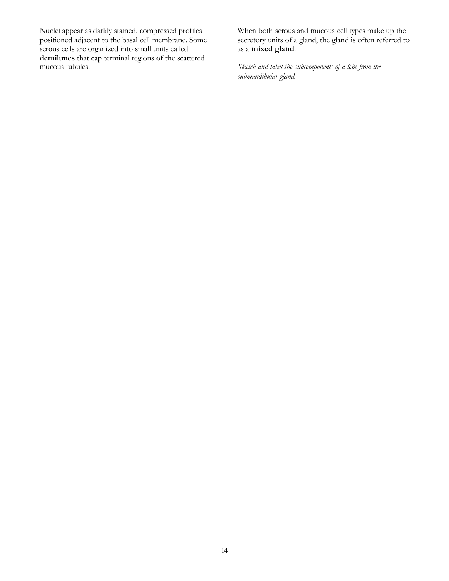Nuclei appear as darkly stained, compressed profiles positioned adjacent to the basal cell membrane. Some serous cells are organized into small units called **demilunes** that cap terminal regions of the scattered mucous tubules.

When both serous and mucous cell types make up the secretory units of a gland, the gland is often referred to as a **mixed gland**.

*Sketch and label the subcomponents of a lobe from the submandibular gland.*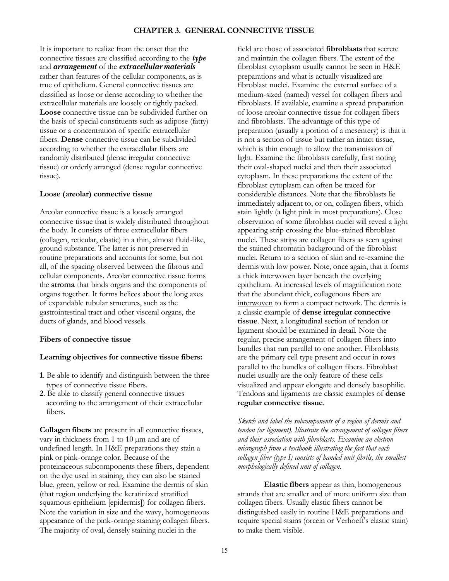It is important to realize from the onset that the connective tissues are classified according to the *type* and *arrangement* of the *extracellularmaterials* rather than features of the cellular components, as is true of epithelium. General connective tissues are classified as loose or dense according to whether the extracellular materials are loosely or tightly packed. **Loose** connective tissue can be subdivided further on the basis of special constituents such as adipose (fatty) tissue or a concentration of specific extracellular fibers. **Dense** connective tissue can be subdivided according to whether the extracellular fibers are randomly distributed (dense irregular connective tissue) or orderly arranged (dense regular connective tissue).

### **Loose (areolar) connective tissue**

Areolar connective tissue is a loosely arranged connective tissue that is widely distributed throughout the body. It consists of three extracellular fibers (collagen, reticular, elastic) in a thin, almost fluid-like, ground substance. The latter is not preserved in routine preparations and accounts for some, but not all, of the spacing observed between the fibrous and cellular components. Areolar connective tissue forms the **stroma** that binds organs and the components of organs together. It forms helices about the long axes of expandable tubular structures, such as the gastrointestinal tract and other visceral organs, the ducts of glands, and blood vessels.

## **Fibers of connective tissue**

## **Learning objectives for connective tissue fibers:**

- **1**. Be able to identify and distinguish between the three types of connective tissue fibers.
- **2**. Be able to classify general connective tissues according to the arrangement of their extracellular fibers.

**Collagen fibers** are present in all connective tissues, vary in thickness from 1 to 10  $\mu$ m and are of undefined length. In H&E preparations they stain a pink or pink-orange color. Because of the proteinaceous subcomponents these fibers, dependent on the dye used in staining, they can also be stained blue, green, yellow or red. Examine the dermis of skin (that region underlying the keratinized stratified squamous epithelium [epidermis]) for collagen fibers. Note the variation in size and the wavy, homogeneous appearance of the pink-orange staining collagen fibers. The majority of oval, densely staining nuclei in the

field are those of associated **fibroblasts** that secrete and maintain the collagen fibers. The extent of the fibroblast cytoplasm usually cannot be seen in H&E preparations and what is actually visualized are fibroblast nuclei. Examine the external surface of a medium-sized (named) vessel for collagen fibers and fibroblasts. If available, examine a spread preparation of loose areolar connective tissue for collagen fibers and fibroblasts. The advantage of this type of preparation (usually a portion of a mesentery) is that it is not a section of tissue but rather an intact tissue, which is thin enough to allow the transmission of light. Examine the fibroblasts carefully, first noting their oval-shaped nuclei and then their associated cytoplasm. In these preparations the extent of the fibroblast cytoplasm can often be traced for considerable distances. Note that the fibroblasts lie immediately adjacent to, or on, collagen fibers, which stain lightly (a light pink in most preparations). Close observation of some fibroblast nuclei will reveal a light appearing strip crossing the blue-stained fibroblast nuclei. These strips are collagen fibers as seen against the stained chromatin background of the fibroblast nuclei. Return to a section of skin and re-examine the dermis with low power. Note, once again, that it forms a thick interwoven layer beneath the overlying epithelium. At increased levels of magnification note that the abundant thick, collagenous fibers are interwoven to form a compact network. The dermis is a classic example of **dense irregular connective tissue**. Next, a longitudinal section of tendon or ligament should be examined in detail. Note the regular, precise arrangement of collagen fibers into bundles that run parallel to one another. Fibroblasts are the primary cell type present and occur in rows parallel to the bundles of collagen fibers. Fibroblast nuclei usually are the only feature of these cells visualized and appear elongate and densely basophilic. Tendons and ligaments are classic examples of **dense regular connective tissue**.

*Sketch and label the subcomponents of a region of dermis and tendon (or ligament). Illustrate the arrangement of collagen fibers and their association with fibroblasts. Examine an electron micrograph from a textbook illustrating the fact that each collagen fiber (type I) consists of banded unit fibrils, the smallest morphologically defined unit of collagen.*

**Elastic fibers** appear as thin, homogeneous strands that are smaller and of more uniform size than collagen fibers. Usually elastic fibers cannot be distinguished easily in routine H&E preparations and require special stains (orcein or Verhoeff's elastic stain) to make them visible.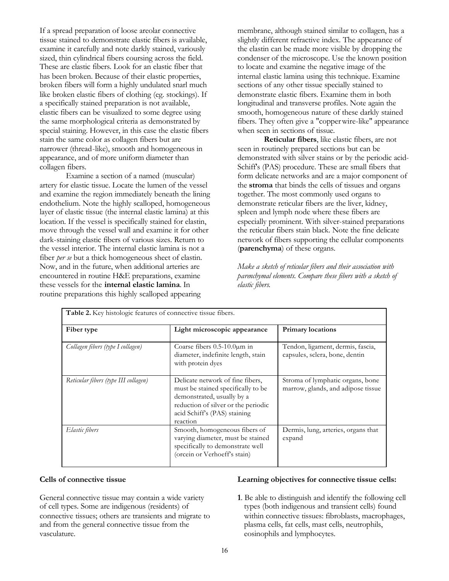If a spread preparation of loose areolar connective tissue stained to demonstrate elastic fibers is available, examine it carefully and note darkly stained, variously sized, thin cylindrical fibers coursing across the field. These are elastic fibers. Look for an elastic fiber that has been broken. Because of their elastic properties, broken fibers will form a highly undulated snarl much like broken elastic fibers of clothing (eg. stockings). If a specifically stained preparation is not available, elastic fibers can be visualized to some degree using the same morphological criteria as demonstrated by special staining. However, in this case the elastic fibers stain the same color as collagen fibers but are narrower (thread-like), smooth and homogeneous in appearance, and of more uniform diameter than collagen fibers.

Examine a section of a named (muscular) artery for elastic tissue. Locate the lumen of the vessel and examine the region immediately beneath the lining endothelium. Note the highly scalloped, homogeneous layer of elastic tissue (the internal elastic lamina) at this location. If the vessel is specifically stained for elastin, move through the vessel wall and examine it for other dark-staining elastic fibers of various sizes. Return to the vessel interior. The internal elastic lamina is not a fiber *per se* but a thick homogeneous sheet of elastin. Now, and in the future, when additional arteries are encountered in routine H&E preparations, examine these vessels for the **internal elastic lamina**. In routine preparations this highly scalloped appearing

membrane, although stained similar to collagen, has a slightly different refractive index. The appearance of the elastin can be made more visible by dropping the condenser of the microscope. Use the known position to locate and examine the negative image of the internal elastic lamina using this technique. Examine sections of any other tissue specially stained to demonstrate elastic fibers. Examine them in both longitudinal and transverse profiles. Note again the smooth, homogeneous nature of these darkly stained fibers. They often give a "copper wire-like" appearance when seen in sections of tissue.

**Reticular fibers**, like elastic fibers, are not seen in routinely prepared sections but can be demonstrated with silver stains or by the periodic acid-Schiff's (PAS) procedure. These are small fibers that form delicate networks and are a major component of the **stroma** that binds the cells of tissues and organs together. The most commonly used organs to demonstrate reticular fibers are the liver, kidney, spleen and lymph node where these fibers are especially prominent. With silver-stained preparations the reticular fibers stain black. Note the fine delicate network of fibers supporting the cellular components (**parenchyma**) of these organs.

*Make a sketch of reticular fibers and their association with parenchymal elements. Compare these fibers with a sketch of elastic fibers.*

| <b>Table 2.</b> Key histologic features of connective tissue fibers. |                                                                                                                                                                                         |                                                                        |  |
|----------------------------------------------------------------------|-----------------------------------------------------------------------------------------------------------------------------------------------------------------------------------------|------------------------------------------------------------------------|--|
| Fiber type                                                           | Light microscopic appearance                                                                                                                                                            | <b>Primary locations</b>                                               |  |
| Collagen fibers (type I collagen)                                    | Coarse fibers $0.5$ -10.0 $\mu$ m in<br>diameter, indefinite length, stain<br>with protein dyes                                                                                         | Tendon, ligament, dermis, fascia,<br>capsules, sclera, bone, dentin    |  |
| Reticular fibers (type III collagen)                                 | Delicate network of fine fibers,<br>must be stained specifically to be<br>demonstrated, usually by a<br>reduction of silver or the periodic<br>acid Schiff's (PAS) staining<br>reaction | Stroma of lymphatic organs, bone<br>marrow, glands, and adipose tissue |  |
| Elastic fibers                                                       | Smooth, homogeneous fibers of<br>varying diameter, must be stained<br>specifically to demonstrate well<br>(orcein or Verhoeff's stain)                                                  | Dermis, lung, arteries, organs that<br>expand                          |  |

#### **Cells of connective tissue**

General connective tissue may contain a wide variety of cell types. Some are indigenous (residents) of connective tissues; others are transients and migrate to and from the general connective tissue from the vasculature.

#### **Learning objectives for connective tissue cells:**

**1**. Be able to distinguish and identify the following cell types (both indigenous and transient cells) found within connective tissues: fibroblasts, macrophages, plasma cells, fat cells, mast cells, neutrophils, eosinophils and lymphocytes.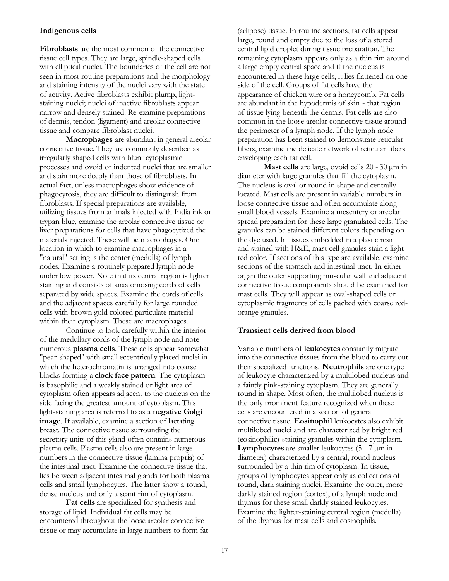#### **Indigenous cells**

**Fibroblasts** are the most common of the connective tissue cell types. They are large, spindle-shaped cells with elliptical nuclei. The boundaries of the cell are not seen in most routine preparations and the morphology and staining intensity of the nuclei vary with the state of activity. Active fibroblasts exhibit plump, lightstaining nuclei; nuclei of inactive fibroblasts appear narrow and densely stained. Re-examine preparations of dermis, tendon (ligament) and areolar connective tissue and compare fibroblast nuclei.

**Macrophages** are abundant in general areolar connective tissue. They are commonly described as irregularly shaped cells with blunt cytoplasmic processes and ovoid or indented nuclei that are smaller and stain more deeply than those of fibroblasts. In actual fact, unless macrophages show evidence of phagocytosis, they are difficult to distinguish from fibroblasts. If special preparations are available, utilizing tissues from animals injected with India ink or trypan blue, examine the areolar connective tissue or liver preparations for cells that have phagocytized the materials injected. These will be macrophages. One location in which to examine macrophages in a "natural" setting is the center (medulla) of lymph nodes. Examine a routinely prepared lymph node under low power. Note that its central region is lighter staining and consists of anastomosing cords of cells separated by wide spaces. Examine the cords of cells and the adjacent spaces carefully for large rounded cells with brown-gold colored particulate material within their cytoplasm. These are macrophages.

Continue to look carefully within the interior of the medullary cords of the lymph node and note numerous **plasma cells**. These cells appear somewhat "pear-shaped" with small eccentrically placed nuclei in which the heterochromatin is arranged into coarse blocks forming a **clock face pattern**. The cytoplasm is basophilic and a weakly stained or light area of cytoplasm often appears adjacent to the nucleus on the side facing the greatest amount of cytoplasm. This light-staining area is referred to as a **negative Golgi image**. If available, examine a section of lactating breast. The connective tissue surrounding the secretory units of this gland often contains numerous plasma cells. Plasma cells also are present in large numbers in the connective tissue (lamina propria) of the intestinal tract. Examine the connective tissue that lies between adjacent intestinal glands for both plasma cells and small lymphocytes. The latter show a round, dense nucleus and only a scant rim of cytoplasm.

**Fat cells** are specialized for synthesis and storage of lipid. Individual fat cells may be encountered throughout the loose areolar connective tissue or may accumulate in large numbers to form fat (adipose) tissue. In routine sections, fat cells appear large, round and empty due to the loss of a stored central lipid droplet during tissue preparation. The remaining cytoplasm appears only as a thin rim around a large empty central space and if the nucleus is encountered in these large cells, it lies flattened on one side of the cell. Groups of fat cells have the appearance of chicken wire or a honeycomb. Fat cells are abundant in the hypodermis of skin - that region of tissue lying beneath the dermis. Fat cells are also common in the loose areolar connective tissue around the perimeter of a lymph node. If the lymph node preparation has been stained to demonstrate reticular fibers, examine the delicate network of reticular fibers enveloping each fat cell.

**Mast cells** are large, ovoid cells 20 - 30 µm in diameter with large granules that fill the cytoplasm. The nucleus is oval or round in shape and centrally located. Mast cells are present in variable numbers in loose connective tissue and often accumulate along small blood vessels. Examine a mesentery or areolar spread preparation for these large granulated cells. The granules can be stained different colors depending on the dye used. In tissues embedded in a plastic resin and stained with H&E, mast cell granules stain a light red color. If sections of this type are available, examine sections of the stomach and intestinal tract. In either organ the outer supporting muscular wall and adjacent connective tissue components should be examined for mast cells. They will appear as oval-shaped cells or cytoplasmic fragments of cells packed with coarse redorange granules.

#### **Transient cells derived from blood**

Variable numbers of **leukocytes** constantly migrate into the connective tissues from the blood to carry out their specialized functions. **Neutrophils** are one type of leukocyte characterized by a multilobed nucleus and a faintly pink-staining cytoplasm. They are generally round in shape. Most often, the multilobed nucleus is the only prominent feature recognized when these cells are encountered in a section of general connective tissue. **Eosinophil** leukocytes also exhibit multilobed nuclei and are characterized by bright red (eosinophilic)-staining granules within the cytoplasm. Lymphocytes are smaller leukocytes (5 - 7 µm in diameter) characterized by a central, round nucleus surrounded by a thin rim of cytoplasm. In tissue, groups of lymphocytes appear only as collections of round, dark staining nuclei. Examine the outer, more darkly stained region (cortex), of a lymph node and thymus for these small darkly stained leukocytes. Examine the lighter-staining central region (medulla) of the thymus for mast cells and eosinophils.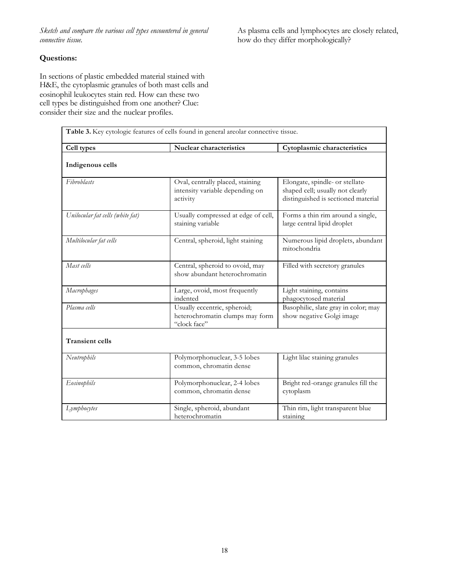## **Questions:**

In sections of plastic embedded material stained with H&E, the cytoplasmic granules of both mast cells and eosinophil leukocytes stain red. How can these two cell types be distinguished from one another? Clue: consider their size and the nuclear profiles.

| Cell types                       | Nuclear characteristics                                                         | Cytoplasmic characteristics                                                                                |
|----------------------------------|---------------------------------------------------------------------------------|------------------------------------------------------------------------------------------------------------|
|                                  |                                                                                 |                                                                                                            |
| Indigenous cells                 |                                                                                 |                                                                                                            |
| Fibroblasts                      | Oval, centrally placed, staining<br>intensity variable depending on<br>activity | Elongate, spindle- or stellate-<br>shaped cell; usually not clearly<br>distinguished is sectioned material |
| Unilocular fat cells (white fat) | Usually compressed at edge of cell,<br>staining variable                        | Forms a thin rim around a single,<br>large central lipid droplet                                           |
| Multilocular fat cells           | Central, spheroid, light staining                                               | Numerous lipid droplets, abundant<br>mitochondria                                                          |
| Mast cells                       | Central, spheroid to ovoid, may<br>show abundant heterochromatin                | Filled with secretory granules                                                                             |
| Macrophages                      | Large, ovoid, most frequently<br>indented                                       | Light staining, contains<br>phagocytosed material                                                          |
| Plasma cells                     | Usually eccentric, spheroid;<br>heterochromatin clumps may form<br>"clock face" | Basophilic, slate gray in color; may<br>show negative Golgi image                                          |
| <b>Transient cells</b>           |                                                                                 |                                                                                                            |
| Neutrophils                      | Polymorphonuclear, 3-5 lobes<br>common, chromatin dense                         | Light lilac staining granules                                                                              |
| Eosinophils                      | Polymorphonuclear, 2-4 lobes<br>common, chromatin dense                         | Bright red-orange granules fill the<br>cytoplasm                                                           |
| Lymphocytes                      | Single, spheroid, abundant<br>heterochromatin                                   | Thin rim, light transparent blue<br>staining                                                               |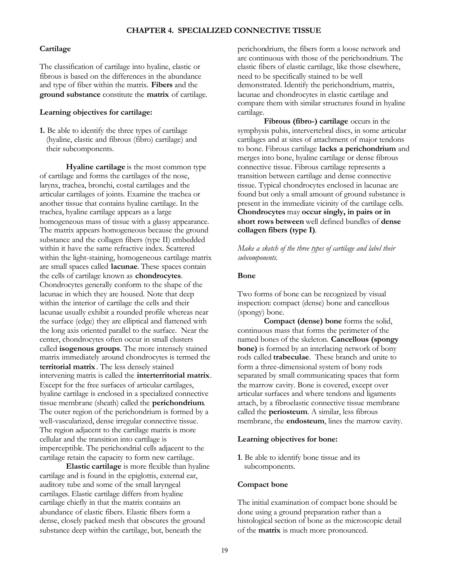## **Cartilage**

The classification of cartilage into hyaline, elastic or fibrous is based on the differences in the abundance and type of fiber within the matrix. **Fibers** and the **ground substance** constitute the **matrix** of cartilage.

## **Learning objectives for cartilage:**

**1.** Be able to identify the three types of cartilage (hyaline, elastic and fibrous (fibro) cartilage) and their subcomponents.

**Hyaline cartilage** is the most common type of cartilage and forms the cartilages of the nose, larynx, trachea, bronchi, costal cartilages and the articular cartilages of joints. Examine the trachea or another tissue that contains hyaline cartilage. In the trachea, hyaline cartilage appears as a large homogeneous mass of tissue with a glassy appearance. The matrix appears homogeneous because the ground substance and the collagen fibers (type II) embedded within it have the same refractive index. Scattered within the light-staining, homogeneous cartilage matrix are small spaces called **lacunae**. These spaces contain the cells of cartilage known as **chondrocytes**. Chondrocytes generally conform to the shape of the lacunae in which they are housed. Note that deep within the interior of cartilage the cells and their lacunae usually exhibit a rounded profile whereas near the surface (edge) they are elliptical and flattened with the long axis oriented parallel to the surface. Near the center, chondrocytes often occur in small clusters called **isogenous groups**. The more intensely stained matrix immediately around chondrocytes is termed the **territorial matrix**. The less densely stained intervening matrix is called the **interterritorial matrix**. Except for the free surfaces of articular cartilages, hyaline cartilage is enclosed in a specialized connective tissue membrane (sheath) called the **perichondrium**. The outer region of the perichondrium is formed by a well-vascularized, dense irregular connective tissue. The region adjacent to the cartilage matrix is more cellular and the transition into cartilage is imperceptible. The perichondrial cells adjacent to the cartilage retain the capacity to form new cartilage.

**Elastic cartilage** is more flexible than hyaline cartilage and is found in the epiglottis, external ear, auditory tube and some of the small laryngeal cartilages. Elastic cartilage differs from hyaline cartilage chiefly in that the matrix contains an abundance of elastic fibers. Elastic fibers form a dense, closely packed mesh that obscures the ground substance deep within the cartilage, but, beneath the

perichondrium, the fibers form a loose network and are continuous with those of the perichondrium. The elastic fibers of elastic cartilage, like those elsewhere, need to be specifically stained to be well demonstrated. Identify the perichondrium, matrix, lacunae and chondrocytes in elastic cartilage and compare them with similar structures found in hyaline cartilage.

**Fibrous (fibro-) cartilage** occurs in the symphysis pubis, intervertebral discs, in some articular cartilages and at sites of attachment of major tendons to bone. Fibrous cartilage **lacks a perichondrium** and merges into bone, hyaline cartilage or dense fibrous connective tissue. Fibrous cartilage represents a transition between cartilage and dense connective tissue. Typical chondrocytes enclosed in lacunae are found but only a small amount of ground substance is present in the immediate vicinity of the cartilage cells. **Chondrocytes** may **occur singly, in pairs or in short rows between** well defined bundles of **dense collagen fibers (type I)**.

*Make a sketch of the three types of cartilage and label their subcomponents.*

### **Bone**

Two forms of bone can be recognized by visual inspection: compact (dense) bone and cancellous (spongy) bone.

**Compact (dense) bone** forms the solid, continuous mass that forms the perimeter of the named bones of the skeleton. **Cancellous (spongy bone)** is formed by an interlacing network of bony rods called **trabeculae**. These branch and unite to form a three-dimensional system of bony rods separated by small communicating spaces that form the marrow cavity. Bone is covered, except over articular surfaces and where tendons and ligaments attach, by a fibroelastic connective tissue membrane called the **periosteum**. A similar, less fibrous membrane, the **endosteum**, lines the marrow cavity.

## **Learning objectives for bone:**

**1**. Be able to identify bone tissue and its subcomponents.

## **Compact bone**

The initial examination of compact bone should be done using a ground preparation rather than a histological section of bone as the microscopic detail of the **matrix** is much more pronounced.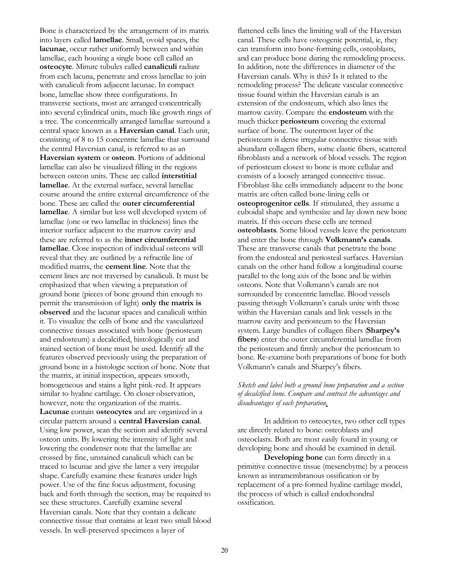Bone is characterized by the arrangement of its matrix into layers called **lamellae**. Small, ovoid spaces, the **lacunae**, occur rather uniformly between and within lamellae, each housing a single bone cell called an **osteocyte**. Minute tubules called **canaliculi** radiate from each lacuna, penetrate and cross lamellae to join with canaliculi from adjacent lacunae. In compact bone, lamellae show three configurations. In transverse sections, most are arranged concentrically into several cylindrical units, much like growth rings of a tree. The concentrically arranged lamellae surround a central space known as a **Haversian canal**. Each unit, consisting of 8 to 15 concentric lamellae that surround the central Haversian canal, is referred to as an **Haversian system** or **osteon**. Portions of additional lamellae can also be visualized filling in the regions between osteon units. These are called **interstitial lamellae**. At the external surface, several lamellae course around the entire external circumference of the bone. These are called the **outer circumferential lamellae**. A similar but less well developed system of lamellae (one or two lamellae in thickness) lines the interior surface adjacent to the marrow cavity and these are referred to as the **inner circumferential lamellae**. Close inspection of individual osteons will reveal that they are outlined by a refractile line of modified matrix, the **cement line**. Note that the cement lines are not traversed by canaliculi. It must be emphasized that when viewing a preparation of ground bone (pieces of bone ground thin enough to permit the transmission of light) **only the matrix is observed** and the lacunar spaces and canaliculi within it. To visualize the cells of bone and the vascularized connective tissues associated with bone (periosteum and endosteum) a decalcified, histologically cut and stained section of bone must be used. Identify all the features observed previously using the preparation of ground bone in a histologic section of bone. Note that the matrix, at initial inspection, appears smooth, homogeneous and stains a light pink-red. It appears similar to hyaline cartilage. On closer observation, however, note the organization of the matrix. **Lacunae** contain **osteocytes** and are organized in a circular pattern around a **central Haversian canal**. Using low power, scan the section and identify several osteon units. By lowering the intensity of light and lowering the condenser note that the lamellae are crossed by fine, unstained canaliculi which can be traced to lacunae and give the latter a very irregular shape. Carefully examine these features under high power. Use of the fine focus adjustment, focusing back and forth through the section, may be required to see these structures. Carefully examine several Haversian canals. Note that they contain a delicate connective tissue that contains at least two small blood vessels. In well-preserved specimens a layer of

flattened cells lines the limiting wall of the Haversian canal. These cells have osteogenic potential, ie, they can transform into bone-forming cells, osteoblasts, and can produce bone during the remodeling process. In addition, note the differences in diameter of the Haversian canals. Why is this? Is it related to the remodeling process? The delicate vascular connective tissue found within the Haversian canals is an extension of the endosteum, which also lines the marrow cavity. Compare the **endosteum** with the much thicker **periosteum** covering the external surface of bone. The outermost layer of the periosteum is dense irregular connective tissue with abundant collagen fibers, some elastic fibers, scattered fibroblasts and a network of blood vessels. The region of periosteum closest to bone is more cellular and consists of a loosely arranged connective tissue. Fibroblast-like cells immediately adjacent to the bone matrix are often called bone-lining cells or **osteoprogenitor cells**. If stimulated, they assume a cuboidal shape and synthesize and lay down new bone matrix. If this occurs these cells are termed **osteoblasts**. Some blood vessels leave the periosteum and enter the bone through **Volkmann's canals**. These are transverse canals that penetrate the bone from the endosteal and periosteal surfaces. Haversian canals on the other hand follow a longitudinal course parallel to the long axis of the bone and lie within osteons. Note that Volkmann's canals are not surrounded by concentric lamellae. Blood vessels passing through Volkmann's canals unite with those within the Haversian canals and link vessels in the marrow cavity and periosteum to the Haversian system. Large bundles of collagen fibers (**Sharpey's fibers**) enter the outer circumferential lamellae from the periosteum and firmly anchor the periosteum to bone. Re-examine both preparations of bone for both Volkmann's canals and Sharpey's fibers.

### *Sketch and label both a ground bone preparation and a section of decalcified bone. Compare and contrast the advantages and disadvantages of each preparation.*

In addition to osteocytes, two other cell types are directly related to bone: osteoblasts and osteoclasts. Both are most easily found in young or developing bone and should be examined in detail.

**Developing bone** can form directly in a primitive connective tissue (mesenchyme) by a process known as intramembranous ossification or by replacement of a pre-formed hyaline cartilage model, the process of which is called endochondral ossification.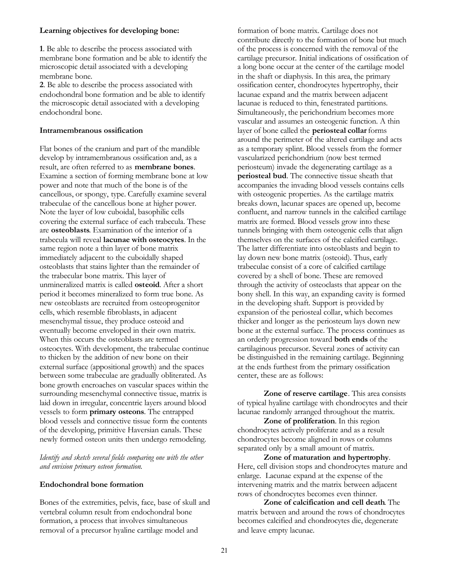#### **Learning objectives for developing bone:**

**1**. Be able to describe the process associated with membrane bone formation and be able to identify the microscopic detail associated with a developing membrane bone.

**2**. Be able to describe the process associated with endochondral bone formation and be able to identify the microscopic detail associated with a developing endochondral bone.

#### **Intramembranous ossification**

Flat bones of the cranium and part of the mandible develop by intramembranous ossification and, as a result, are often referred to as **membrane bones**. Examine a section of forming membrane bone at low power and note that much of the bone is of the cancellous, or spongy, type. Carefully examine several trabeculae of the cancellous bone at higher power. Note the layer of low cuboidal, basophilic cells covering the external surface of each trabecula. These are **osteoblasts**. Examination of the interior of a trabecula will reveal **lacunae with osteocytes**. In the same region note a thin layer of bone matrix immediately adjacent to the cuboidally shaped osteoblasts that stains lighter than the remainder of the trabecular bone matrix. This layer of unmineralized matrix is called **osteoid**. After a short period it becomes mineralized to form true bone. As new osteoblasts are recruited from osteoprogenitor cells, which resemble fibroblasts, in adjacent mesenchymal tissue, they produce osteoid and eventually become enveloped in their own matrix. When this occurs the osteoblasts are termed osteocytes. With development, the trabeculae continue to thicken by the addition of new bone on their external surface (appositional growth) and the spaces between some trabeculae are gradually obliterated. As bone growth encroaches on vascular spaces within the surrounding mesenchymal connective tissue, matrix is laid down in irregular, concentric layers around blood vessels to form **primary osteons**. The entrapped blood vessels and connective tissue form the contents of the developing, primitive Haversian canals. These newly formed osteon units then undergo remodeling.

*Identify and sketch several fields comparing one with the other and envision primary osteon formation.*

#### **Endochondral bone formation**

Bones of the extremities, pelvis, face, base of skull and vertebral column result from endochondral bone formation, a process that involves simultaneous removal of a precursor hyaline cartilage model and

formation of bone matrix. Cartilage does not contribute directly to the formation of bone but much of the process is concerned with the removal of the cartilage precursor. Initial indications of ossification of a long bone occur at the center of the cartilage model in the shaft or diaphysis. In this area, the primary ossification center, chondrocytes hypertrophy, their lacunae expand and the matrix between adjacent lacunae is reduced to thin, fenestrated partitions. Simultaneously, the perichondrium becomes more vascular and assumes an osteogenic function. A thin layer of bone called the **periosteal collar** forms around the perimeter of the altered cartilage and acts as a temporary splint. Blood vessels from the former vascularized perichondrium (now best termed periosteum) invade the degenerating cartilage as a **periosteal bud**. The connective tissue sheath that accompanies the invading blood vessels contains cells with osteogenic properties. As the cartilage matrix breaks down, lacunar spaces are opened up, become confluent, and narrow tunnels in the calcified cartilage matrix are formed. Blood vessels grow into these tunnels bringing with them osteogenic cells that align themselves on the surfaces of the calcified cartilage. The latter differentiate into osteoblasts and begin to lay down new bone matrix (osteoid). Thus, early trabeculae consist of a core of calcified cartilage covered by a shell of bone. These are removed through the activity of osteoclasts that appear on the bony shell. In this way, an expanding cavity is formed in the developing shaft. Support is provided by expansion of the periosteal collar, which becomes thicker and longer as the periosteum lays down new bone at the external surface. The process continues as an orderly progression toward **both ends** of the cartilaginous precursor. Several zones of activity can be distinguished in the remaining cartilage. Beginning at the ends furthest from the primary ossification center, these are as follows:

**Zone of reserve cartilage**. This area consists of typical hyaline cartilage with chondrocytes and their lacunae randomly arranged throughout the matrix.

**Zone of proliferation**. In this region chondrocytes actively proliferate and as a result chondrocytes become aligned in rows or columns separated only by a small amount of matrix.

**Zone of maturation and hypertrophy**. Here, cell division stops and chondrocytes mature and enlarge. Lacunae expand at the expense of the intervening matrix and the matrix between adjacent rows of chondrocytes becomes even thinner.

**Zone of calcification and cell death**. The matrix between and around the rows of chondrocytes becomes calcified and chondrocytes die, degenerate and leave empty lacunae.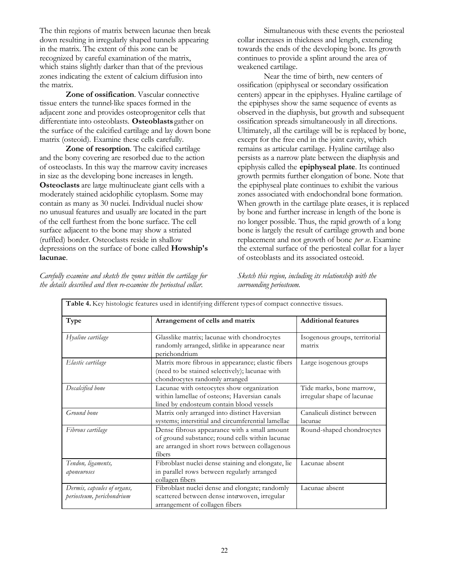The thin regions of matrix between lacunae then break down resulting in irregularly shaped tunnels appearing in the matrix. The extent of this zone can be recognized by careful examination of the matrix, which stains slightly darker than that of the previous zones indicating the extent of calcium diffusion into the matrix.

**Zone of ossification**. Vascular connective tissue enters the tunnel-like spaces formed in the adjacent zone and provides osteoprogenitor cells that differentiate into osteoblasts. **Osteoblasts** gather on the surface of the calcified cartilage and lay down bone matrix (osteoid). Examine these cells carefully.

**Zone of resorption**. The calcified cartilage and the bony covering are resorbed due to the action of osteoclasts. In this way the marrow cavity increases in size as the developing bone increases in length. **Osteoclasts** are large multinucleate giant cells with a moderately stained acidophilic cytoplasm. Some may contain as many as 30 nuclei. Individual nuclei show no unusual features and usually are located in the part of the cell furthest from the bone surface. The cell surface adjacent to the bone may show a striated (ruffled) border. Osteoclasts reside in shallow depressions on the surface of bone called **Howship's lacunae**.

Simultaneous with these events the periosteal collar increases in thickness and length, extending towards the ends of the developing bone. Its growth continues to provide a splint around the area of weakened cartilage.

Near the time of birth, new centers of ossification (epiphyseal or secondary ossification centers) appear in the epiphyses. Hyaline cartilage of the epiphyses show the same sequence of events as observed in the diaphysis, but growth and subsequent ossification spreads simultaneously in all directions. Ultimately, all the cartilage will be is replaced by bone, except for the free end in the joint cavity, which remains as articular cartilage. Hyaline cartilage also persists as a narrow plate between the diaphysis and epiphysis called the **epiphyseal plate**. Its continued growth permits further elongation of bone. Note that the epiphyseal plate continues to exhibit the various zones associated with endochondral bone formation. When growth in the cartilage plate ceases, it is replaced by bone and further increase in length of the bone is no longer possible. Thus, the rapid growth of a long bone is largely the result of cartilage growth and bone replacement and not growth of bone *per se*. Examine the external surface of the periosteal collar for a layer of osteoblasts and its associated osteoid.

*Sketch this region, including its relationship with the surrounding periosteum.*

| Table 4. Key histologic features used in identifying different types of compact connective tissues. |                                                                                                                                                             |                                                        |  |
|-----------------------------------------------------------------------------------------------------|-------------------------------------------------------------------------------------------------------------------------------------------------------------|--------------------------------------------------------|--|
| Type                                                                                                | Arrangement of cells and matrix                                                                                                                             | <b>Additional features</b>                             |  |
| Hyaline cartilage                                                                                   | Glasslike matrix; lacunae with chondrocytes<br>randomly arranged, slitlike in appearance near<br>perichondrium                                              | Isogenous groups, territorial<br>matrix                |  |
| Elastic cartilage                                                                                   | Matrix more fibrous in appearance; elastic fibers<br>(need to be stained selectively); lacunae with<br>chondrocytes randomly arranged                       | Large isogenous groups                                 |  |
| Decalcified bone                                                                                    | Lacunae with osteocytes show organization<br>within lamellae of osteons; Haversian canals<br>lined by endosteum contain blood vessels                       | Tide marks, bone marrow,<br>irregular shape of lacunae |  |
| Ground bone                                                                                         | Matrix only arranged into distinct Haversian<br>systems; interstitial and circumferential lamellae                                                          | Canaliculi distinct between<br>lacunae                 |  |
| Fibrous cartilage                                                                                   | Dense fibrous appearance with a small amount<br>of ground substance; round cells within lacunae<br>are arranged in short rows between collagenous<br>fibers | Round-shaped chondrocytes                              |  |
| Tendon, ligaments,<br>aponeuroses                                                                   | Fibroblast nuclei dense staining and elongate, lie<br>in parallel rows between regularly arranged<br>collagen fibers                                        | Lacunae absent                                         |  |
| Dermis, capsules of organs,<br>periosteum, perichondrium                                            | Fibroblast nuclei dense and elongate; randomly<br>scattered between dense interwoven, irregular<br>arrangement of collagen fibers                           | Lacunae absent                                         |  |

*Carefully examine and sketch the zones within the cartilage for the details described and then re-examine the periosteal collar.*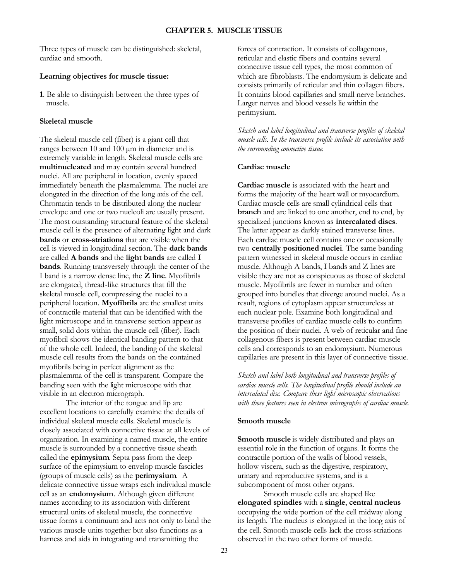Three types of muscle can be distinguished: skeletal, cardiac and smooth.

### **Learning objectives for muscle tissue:**

**1**. Be able to distinguish between the three types of muscle.

## **Skeletal muscle**

The skeletal muscle cell (fiber) is a giant cell that ranges between 10 and 100 µm in diameter and is extremely variable in length. Skeletal muscle cells are **multinucleated** and may contain several hundred nuclei. All are peripheral in location, evenly spaced immediately beneath the plasmalemma. The nuclei are elongated in the direction of the long axis of the cell. Chromatin tends to be distributed along the nuclear envelope and one or two nucleoli are usually present. The most outstanding structural feature of the skeletal muscle cell is the presence of alternating light and dark **bands** or **cross-striations** that are visible when the cell is viewed in longitudinal section. The **dark bands** are called **A bands** and the **light bands** are called **I bands**. Running transversely through the center of the I band is a narrow dense line, the **Z line**. Myofibrils are elongated, thread-like structures that fill the skeletal muscle cell, compressing the nuclei to a peripheral location. **Myofibrils** are the smallest units of contractile material that can be identified with the light microscope and in transverse section appear as small, solid dots within the muscle cell (fiber). Each myofibril shows the identical banding pattern to that of the whole cell. Indeed, the banding of the skeletal muscle cell results from the bands on the contained myofibrils being in perfect alignment as the plasmalemma of the cell is transparent. Compare the banding seen with the light microscope with that visible in an electron micrograph.

The interior of the tongue and lip are excellent locations to carefully examine the details of individual skeletal muscle cells. Skeletal muscle is closely associated with connective tissue at all levels of organization. In examining a named muscle, the entire muscle is surrounded by a connective tissue sheath called the **epimysium**. Septa pass from the deep surface of the epimysium to envelop muscle fascicles (groups of muscle cells) as the **perimysium**. A delicate connective tissue wraps each individual muscle cell as an **endomysium**. Although given different names according to its association with different structural units of skeletal muscle, the connective tissue forms a continuum and acts not only to bind the various muscle units together but also functions as a harness and aids in integrating and transmitting the

forces of contraction. It consists of collagenous, reticular and elastic fibers and contains several connective tissue cell types, the most common of which are fibroblasts. The endomysium is delicate and consists primarily of reticular and thin collagen fibers. It contains blood capillaries and small nerve branches. Larger nerves and blood vessels lie within the perimysium.

*Sketch and label longitudinal and transverse profiles of skeletal muscle cells. In the transverse profile include its association with the surrounding connective tissue.*

## **Cardiac muscle**

**Cardiac muscle** is associated with the heart and forms the majority of the heart wall or myocardium. Cardiac muscle cells are small cylindrical cells that **branch** and are linked to one another, end to end, by specialized junctions known as **intercalated discs**. The latter appear as darkly stained transverse lines. Each cardiac muscle cell contains one or occasionally two **centrally positioned nuclei**. The same banding pattern witnessed in skeletal muscle occurs in cardiac muscle. Although A bands, I bands and Z lines are visible they are not as conspicuous as those of skeletal muscle. Myofibrils are fewer in number and often grouped into bundles that diverge around nuclei. As a result, regions of cytoplasm appear structureless at each nuclear pole. Examine both longitudinal and transverse profiles of cardiac muscle cells to confirm the position of their nuclei. A web of reticular and fine collagenous fibers is present between cardiac muscle cells and corresponds to an endomysium. Numerous capillaries are present in this layer of connective tissue.

*Sketch and label both longitudinal and transverse profiles of cardiac muscle cells. The longitudinal profile should include an intercalated disc. Compare these light microscopic observations with those features seen in electron micrographs of cardiac muscle.*

## **Smooth muscle**

**Smooth muscle** is widely distributed and plays an essential role in the function of organs. It forms the contractile portion of the walls of blood vessels, hollow viscera, such as the digestive, respiratory, urinary and reproductive systems, and is a subcomponent of most other organs.

Smooth muscle cells are shaped like **elongated spindles** with a **single**, **central nucleus** occupying the wide portion of the cell midway along its length. The nucleus is elongated in the long axis of the cell. Smooth muscle cells lack the cross-striations observed in the two other forms of muscle.